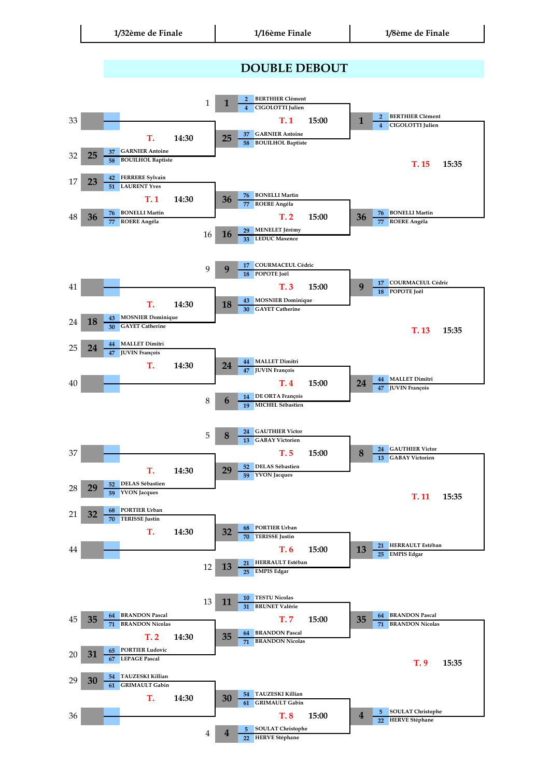## **DOUBLE DEBOUT**